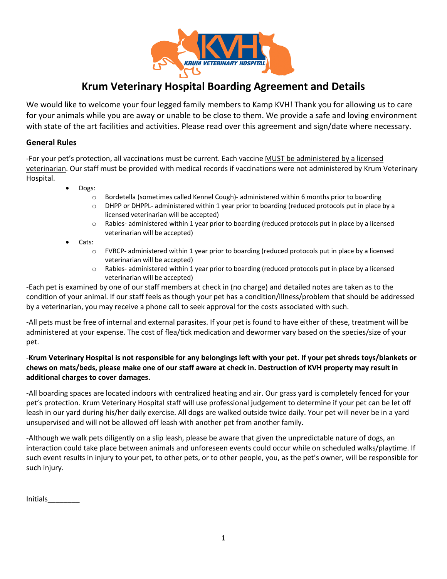

# **Krum Veterinary Hospital Boarding Agreement and Details**

We would like to welcome your four legged family members to Kamp KVH! Thank you for allowing us to care for your animals while you are away or unable to be close to them. We provide a safe and loving environment with state of the art facilities and activities. Please read over this agreement and sign/date where necessary.

#### **General Rules**

-For your pet's protection, all vaccinations must be current. Each vaccine MUST be administered by a licensed veterinarian. Our staff must be provided with medical records if vaccinations were not administered by Krum Veterinary Hospital.

- Dogs:
	- o Bordetella (sometimes called Kennel Cough)- administered within 6 months prior to boarding
	- $\circ$  DHPP or DHPPL- administered within 1 year prior to boarding (reduced protocols put in place by a licensed veterinarian will be accepted)
	- $\circ$  Rabies- administered within 1 year prior to boarding (reduced protocols put in place by a licensed veterinarian will be accepted)
- Cats:
	- $\circ$  FVRCP- administered within 1 year prior to boarding (reduced protocols put in place by a licensed veterinarian will be accepted)
	- o Rabies- administered within 1 year prior to boarding (reduced protocols put in place by a licensed veterinarian will be accepted)

-Each pet is examined by one of our staff members at check in (no charge) and detailed notes are taken as to the condition of your animal. If our staff feels as though your pet has a condition/illness/problem that should be addressed by a veterinarian, you may receive a phone call to seek approval for the costs associated with such.

-All pets must be free of internal and external parasites. If your pet is found to have either of these, treatment will be administered at your expense. The cost of flea/tick medication and dewormer vary based on the species/size of your pet.

### -**Krum Veterinary Hospital is not responsible for any belongings left with your pet. If your pet shreds toys/blankets or chews on mats/beds, please make one of our staff aware at check in. Destruction of KVH property may result in additional charges to cover damages.**

-All boarding spaces are located indoors with centralized heating and air. Our grass yard is completely fenced for your pet's protection. Krum Veterinary Hospital staff will use professional judgement to determine if your pet can be let off leash in our yard during his/her daily exercise. All dogs are walked outside twice daily. Your pet will never be in a yard unsupervised and will not be allowed off leash with another pet from another family.

-Although we walk pets diligently on a slip leash, please be aware that given the unpredictable nature of dogs, an interaction could take place between animals and unforeseen events could occur while on scheduled walks/playtime. If such event results in injury to your pet, to other pets, or to other people, you, as the pet's owner, will be responsible for such injury.

Initials\_\_\_\_\_\_\_\_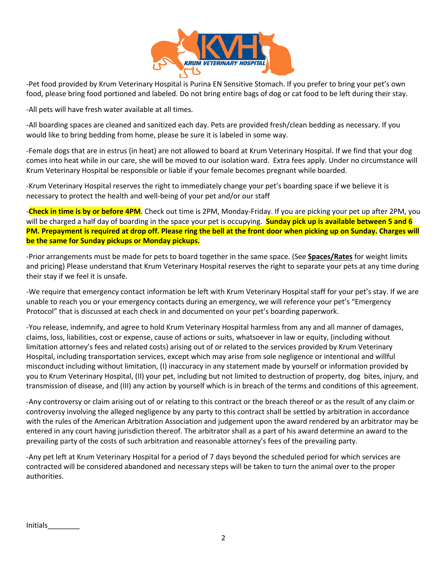

-Pet food provided by Krum Veterinary Hospital is Purina EN Sensitive Stomach. If you prefer to bring your pet's own food, please bring food portioned and labeled. Do not bring entire bags of dog or cat food to be left during their stay.

-All pets will have fresh water available at all times.

-All boarding spaces are cleaned and sanitized each day. Pets are provided fresh/clean bedding as necessary. If you would like to bring bedding from home, please be sure it is labeled in some way.

-Female dogs that are in estrus (in heat) are not allowed to board at Krum Veterinary Hospital. If we find that your dog comes into heat while in our care, she will be moved to our isolation ward. Extra fees apply. Under no circumstance will Krum Veterinary Hospital be responsible or liable if your female becomes pregnant while boarded.

-Krum Veterinary Hospital reserves the right to immediately change your pet's boarding space if we believe it is necessary to protect the health and well-being of your pet and/or our staff

-**Check in time is by or before 4PM**. Check out time is 2PM, Monday-Friday. If you are picking your pet up after 2PM, you will be charged a half day of boarding in the space your pet is occupying. **Sunday pick up is available between 5 and 6 PM. Prepayment is required at drop off. Please ring the bell at the front door when picking up on Sunday. Charges will be the same for Sunday pickups or Monday pickups.** 

-Prior arrangements must be made for pets to board together in the same space. (See **Spaces/Rates** for weight limits and pricing) Please understand that Krum Veterinary Hospital reserves the right to separate your pets at any time during their stay if we feel it is unsafe.

-We require that emergency contact information be left with Krum Veterinary Hospital staff for your pet's stay. If we are unable to reach you or your emergency contacts during an emergency, we will reference your pet's "Emergency Protocol" that is discussed at each check in and documented on your pet's boarding paperwork.

-You release, indemnify, and agree to hold Krum Veterinary Hospital harmless from any and all manner of damages, claims, loss, liabilities, cost or expense, cause of actions or suits, whatsoever in law or equity, (including without limitation attorney's fees and related costs) arising out of or related to the services provided by Krum Veterinary Hospital, including transportation services, except which may arise from sole negligence or intentional and willful misconduct including without limitation, (I) inaccuracy in any statement made by yourself or information provided by you to Krum Veterinary Hospital, (II) your pet, including but not limited to destruction of property, dog bites, injury, and transmission of disease, and (III) any action by yourself which is in breach of the terms and conditions of this agreement.

-Any controversy or claim arising out of or relating to this contract or the breach thereof or as the result of any claim or controversy involving the alleged negligence by any party to this contract shall be settled by arbitration in accordance with the rules of the American Arbitration Association and judgement upon the award rendered by an arbitrator may be entered in any court having jurisdiction thereof. The arbitrator shall as a part of his award determine an award to the prevailing party of the costs of such arbitration and reasonable attorney's fees of the prevailing party.

-Any pet left at Krum Veterinary Hospital for a period of 7 days beyond the scheduled period for which services are contracted will be considered abandoned and necessary steps will be taken to turn the animal over to the proper authorities.

Initials\_\_\_\_\_\_\_\_